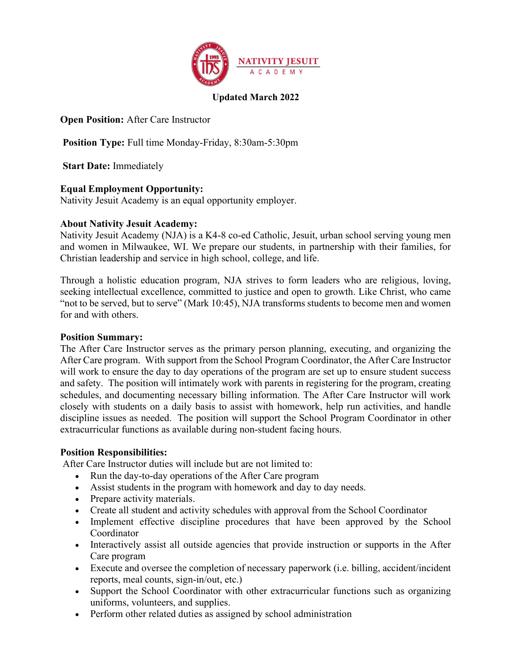

# Updated March 2022

Open Position: After Care Instructor

Position Type: Full time Monday-Friday, 8:30am-5:30pm

Start Date: Immediately

### Equal Employment Opportunity:

Nativity Jesuit Academy is an equal opportunity employer.

#### About Nativity Jesuit Academy:

Nativity Jesuit Academy (NJA) is a K4-8 co-ed Catholic, Jesuit, urban school serving young men and women in Milwaukee, WI. We prepare our students, in partnership with their families, for Christian leadership and service in high school, college, and life.

Through a holistic education program, NJA strives to form leaders who are religious, loving, seeking intellectual excellence, committed to justice and open to growth. Like Christ, who came "not to be served, but to serve" (Mark 10:45), NJA transforms students to become men and women for and with others.

#### Position Summary:

The After Care Instructor serves as the primary person planning, executing, and organizing the After Care program. With support from the School Program Coordinator, the After Care Instructor will work to ensure the day to day operations of the program are set up to ensure student success and safety. The position will intimately work with parents in registering for the program, creating schedules, and documenting necessary billing information. The After Care Instructor will work closely with students on a daily basis to assist with homework, help run activities, and handle discipline issues as needed. The position will support the School Program Coordinator in other extracurricular functions as available during non-student facing hours.

#### **Position Responsibilities:**

After Care Instructor duties will include but are not limited to:

- Run the day-to-day operations of the After Care program
- Assist students in the program with homework and day to day needs.
- Prepare activity materials.
- Create all student and activity schedules with approval from the School Coordinator
- Implement effective discipline procedures that have been approved by the School Coordinator
- Interactively assist all outside agencies that provide instruction or supports in the After Care program
- Execute and oversee the completion of necessary paperwork (i.e. billing, accident/incident reports, meal counts, sign-in/out, etc.)
- Support the School Coordinator with other extracurricular functions such as organizing uniforms, volunteers, and supplies.
- Perform other related duties as assigned by school administration